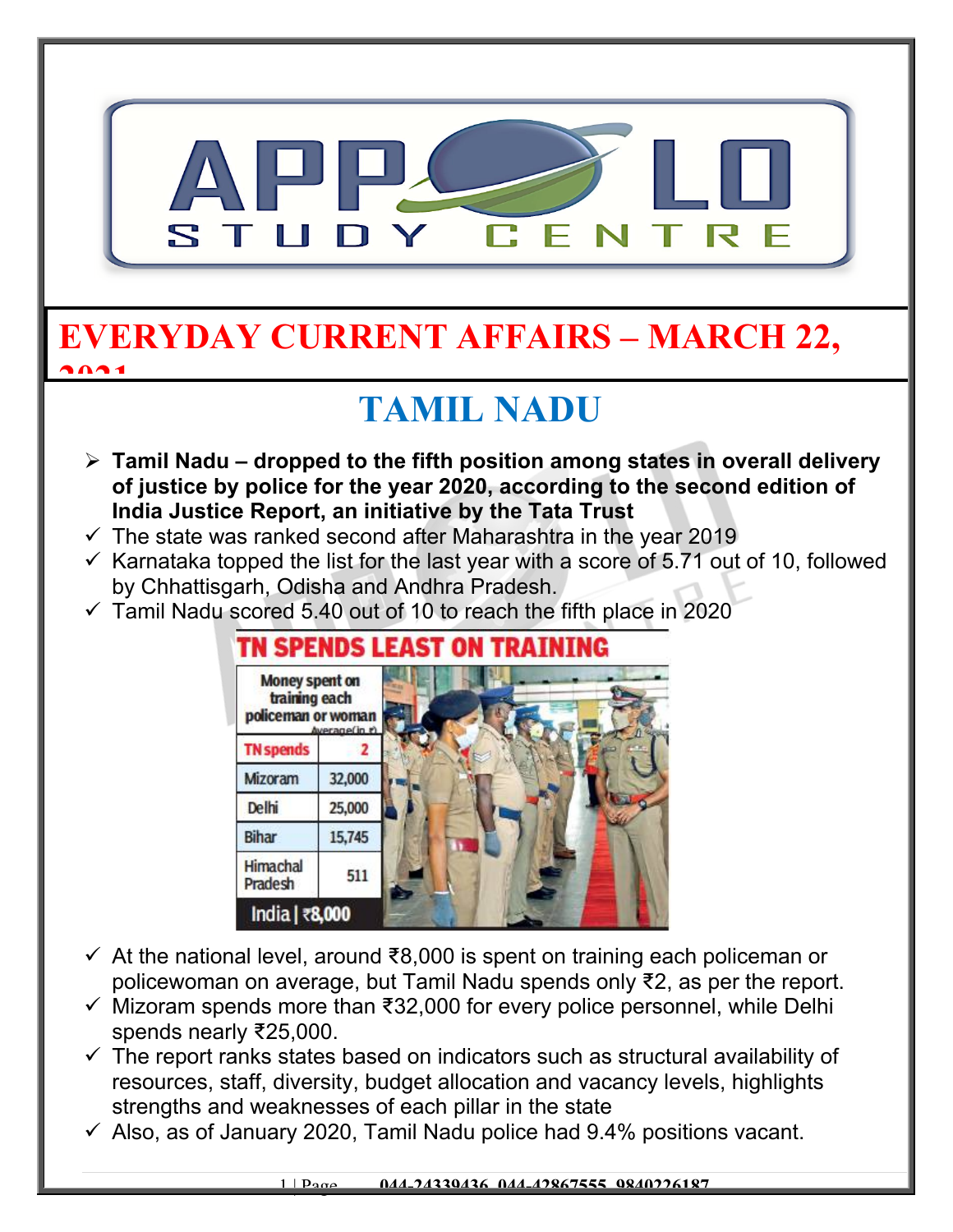

#### **EVERYDAY CURRENT AFFAIRS – MARCH 22, 2021**

## **TAMIL NADU**

- **Tamil Nadu dropped to the fifth position among states in overall delivery of justice by police for the year 2020, according to the second edition of India Justice Report, an initiative by the Tata Trust**
- $\checkmark$  The state was ranked second after Maharashtra in the year 2019
- $\checkmark$  Karnataka topped the list for the last year with a score of 5.71 out of 10, followed by Chhattisgarh, Odisha and Andhra Pradesh.
- $\checkmark$  Tamil Nadu scored 5.40 out of 10 to reach the fifth place in 2020



- At the national level, around ₹8,000 is spent on training each policeman or policewoman on average, but Tamil Nadu spends only ₹2, as per the report.
- $\checkmark$  Mizoram spends more than ₹32,000 for every police personnel, while Delhi spends nearly ₹25,000.
- $\checkmark$  The report ranks states based on indicators such as structural availability of resources, staff, diversity, budget allocation and vacancy levels, highlights strengths and weaknesses of each pillar in the state
- $\checkmark$  Also, as of January 2020, Tamil Nadu police had 9.4% positions vacant.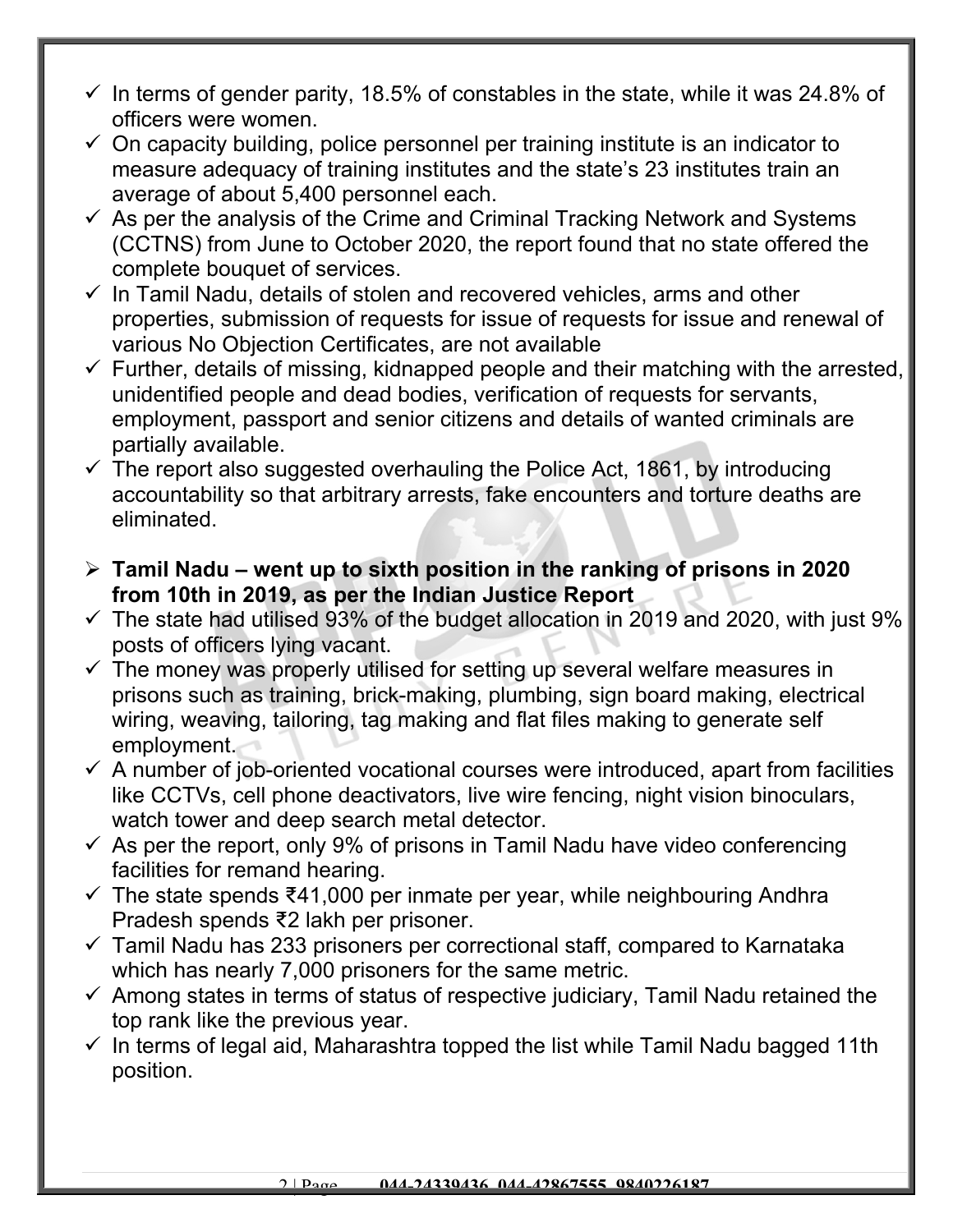- $\checkmark$  In terms of gender parity, 18.5% of constables in the state, while it was 24.8% of officers were women.
- $\checkmark$  On capacity building, police personnel per training institute is an indicator to measure adequacy of training institutes and the state's 23 institutes train an average of about 5,400 personnel each.
- $\checkmark$  As per the analysis of the Crime and Criminal Tracking Network and Systems (CCTNS) from June to October 2020, the report found that no state offered the complete bouquet of services.
- $\checkmark$  In Tamil Nadu, details of stolen and recovered vehicles, arms and other properties, submission of requests for issue of requests for issue and renewal of various No Objection Certificates, are not available
- $\checkmark$  Further, details of missing, kidnapped people and their matching with the arrested, unidentified people and dead bodies, verification of requests for servants, employment, passport and senior citizens and details of wanted criminals are partially available.
- $\checkmark$  The report also suggested overhauling the Police Act, 1861, by introducing accountability so that arbitrary arrests, fake encounters and torture deaths are eliminated.
- **Tamil Nadu went up to sixth position in the ranking of prisons in 2020 from 10th in 2019, as per the Indian Justice Report**
- $\checkmark$  The state had utilised 93% of the budget allocation in 2019 and 2020, with just 9% posts of officers lying vacant.
- $\checkmark$  The money was properly utilised for setting up several welfare measures in prisons such as training, brick-making, plumbing, sign board making, electrical wiring, weaving, tailoring, tag making and flat files making to generate self employment.
- $\checkmark$  A number of job-oriented vocational courses were introduced, apart from facilities like CCTVs, cell phone deactivators, live wire fencing, night vision binoculars, watch tower and deep search metal detector.
- $\checkmark$  As per the report, only 9% of prisons in Tamil Nadu have video conferencing facilities for remand hearing.
- $\checkmark$  The state spends ₹41,000 per inmate per year, while neighbouring Andhra Pradesh spends ₹2 lakh per prisoner.
- $\checkmark$  Tamil Nadu has 233 prisoners per correctional staff, compared to Karnataka which has nearly 7,000 prisoners for the same metric.
- $\checkmark$  Among states in terms of status of respective judiciary, Tamil Nadu retained the top rank like the previous year.
- $\checkmark$  In terms of legal aid, Maharashtra topped the list while Tamil Nadu bagged 11th position.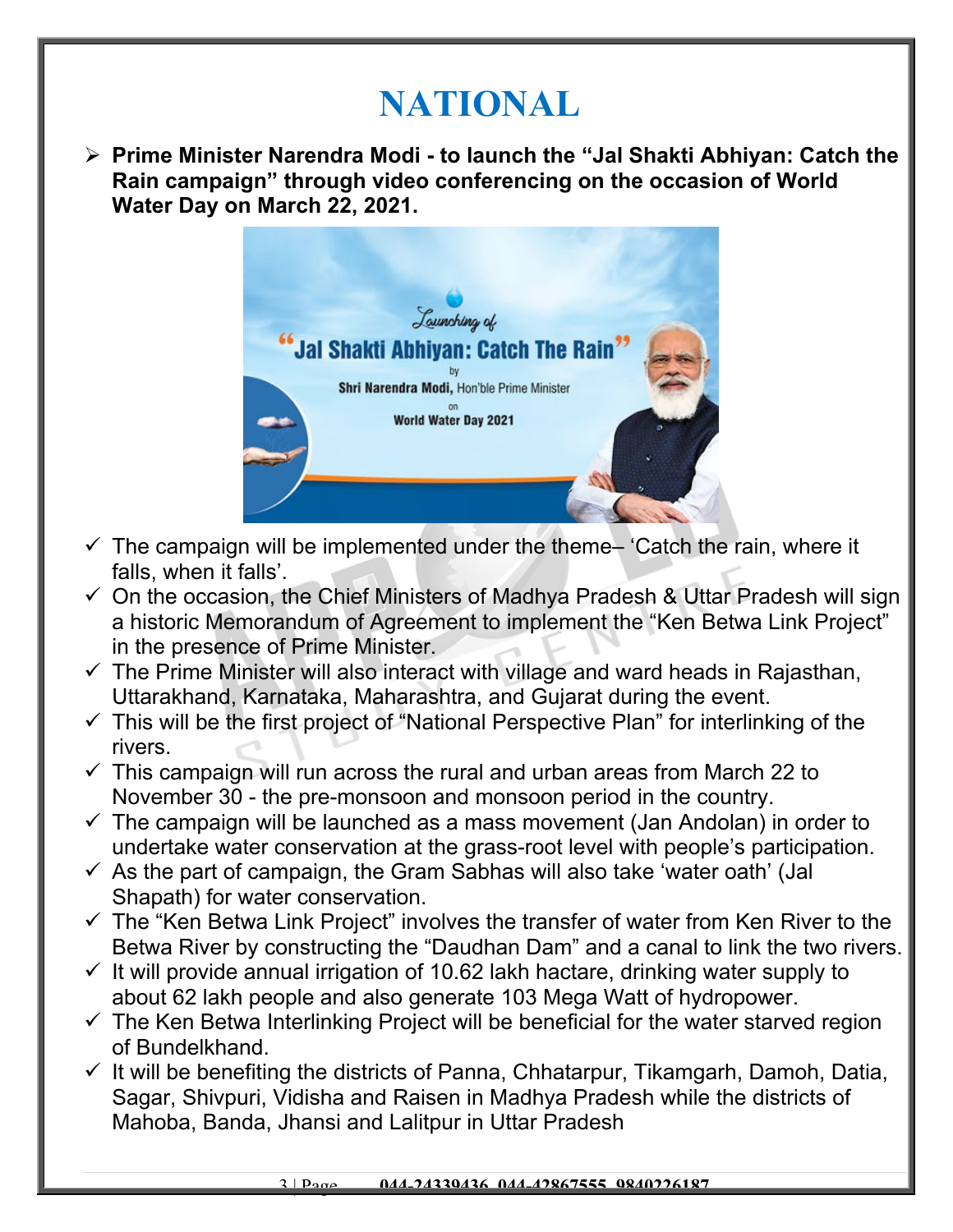## **NATIONAL**

 **Prime Minister Narendra Modi - to launch the "Jal Shakti Abhiyan: Catch the Rain campaign" through video conferencing on the occasion of World Water Day on March 22, 2021.** 



- $\checkmark$  The campaign will be implemented under the theme- 'Catch the rain, where it falls, when it falls'.
- $\checkmark$  On the occasion, the Chief Ministers of Madhya Pradesh & Uttar Pradesh will sign a historic Memorandum of Agreement to implement the "Ken Betwa Link Project" in the presence of Prime Minister.
- $\checkmark$  The Prime Minister will also interact with village and ward heads in Rajasthan, Uttarakhand, Karnataka, Maharashtra, and Gujarat during the event.
- $\checkmark$  This will be the first project of "National Perspective Plan" for interlinking of the rivers.
- $\checkmark$  This campaign will run across the rural and urban areas from March 22 to November 30 - the pre-monsoon and monsoon period in the country.
- $\checkmark$  The campaign will be launched as a mass movement (Jan Andolan) in order to undertake water conservation at the grass-root level with people's participation.
- $\checkmark$  As the part of campaign, the Gram Sabhas will also take 'water oath' (Jal Shapath) for water conservation.
- $\checkmark$  The "Ken Betwa Link Project" involves the transfer of water from Ken River to the Betwa River by constructing the "Daudhan Dam" and a canal to link the two rivers.
- $\checkmark$  It will provide annual irrigation of 10.62 lakh hactare, drinking water supply to about 62 lakh people and also generate 103 Mega Watt of hydropower.
- $\checkmark$  The Ken Betwa Interlinking Project will be beneficial for the water starved region of Bundelkhand.
- $\checkmark$  It will be benefiting the districts of Panna, Chhatarpur, Tikamgarh, Damoh, Datia, Sagar, Shivpuri, Vidisha and Raisen in Madhya Pradesh while the districts of Mahoba, Banda, Jhansi and Lalitpur in Uttar Pradesh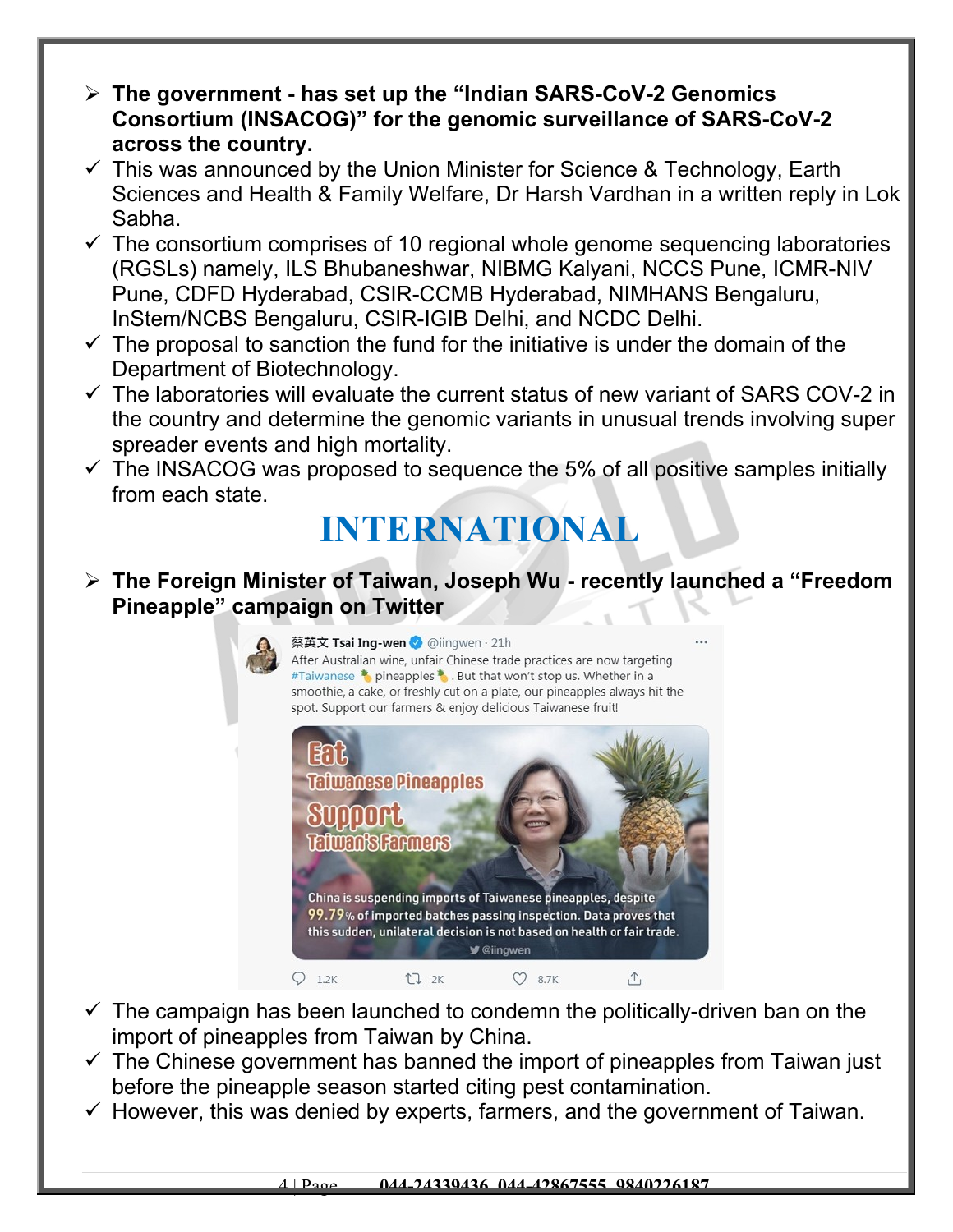- **The government has set up the "Indian SARS-CoV-2 Genomics Consortium (INSACOG)" for the genomic surveillance of SARS-CoV-2 across the country.**
- $\checkmark$  This was announced by the Union Minister for Science & Technology, Earth Sciences and Health & Family Welfare, Dr Harsh Vardhan in a written reply in Lok Sabha.
- $\checkmark$  The consortium comprises of 10 regional whole genome sequencing laboratories (RGSLs) namely, ILS Bhubaneshwar, NIBMG Kalyani, NCCS Pune, ICMR-NIV Pune, CDFD Hyderabad, CSIR-CCMB Hyderabad, NIMHANS Bengaluru, InStem/NCBS Bengaluru, CSIR-IGIB Delhi, and NCDC Delhi.
- $\checkmark$  The proposal to sanction the fund for the initiative is under the domain of the Department of Biotechnology.
- $\checkmark$  The laboratories will evaluate the current status of new variant of SARS COV-2 in the country and determine the genomic variants in unusual trends involving super spreader events and high mortality.
- $\checkmark$  The INSACOG was proposed to sequence the 5% of all positive samples initially from each state.

## **INTERNATIONAL**

#### **The Foreign Minister of Taiwan, Joseph Wu - recently launched a "Freedom Pineapple" campaign on Twitter**



- $\checkmark$  The campaign has been launched to condemn the politically-driven ban on the import of pineapples from Taiwan by China.
- $\checkmark$  The Chinese government has banned the import of pineapples from Taiwan just before the pineapple season started citing pest contamination.
- $\checkmark$  However, this was denied by experts, farmers, and the government of Taiwan.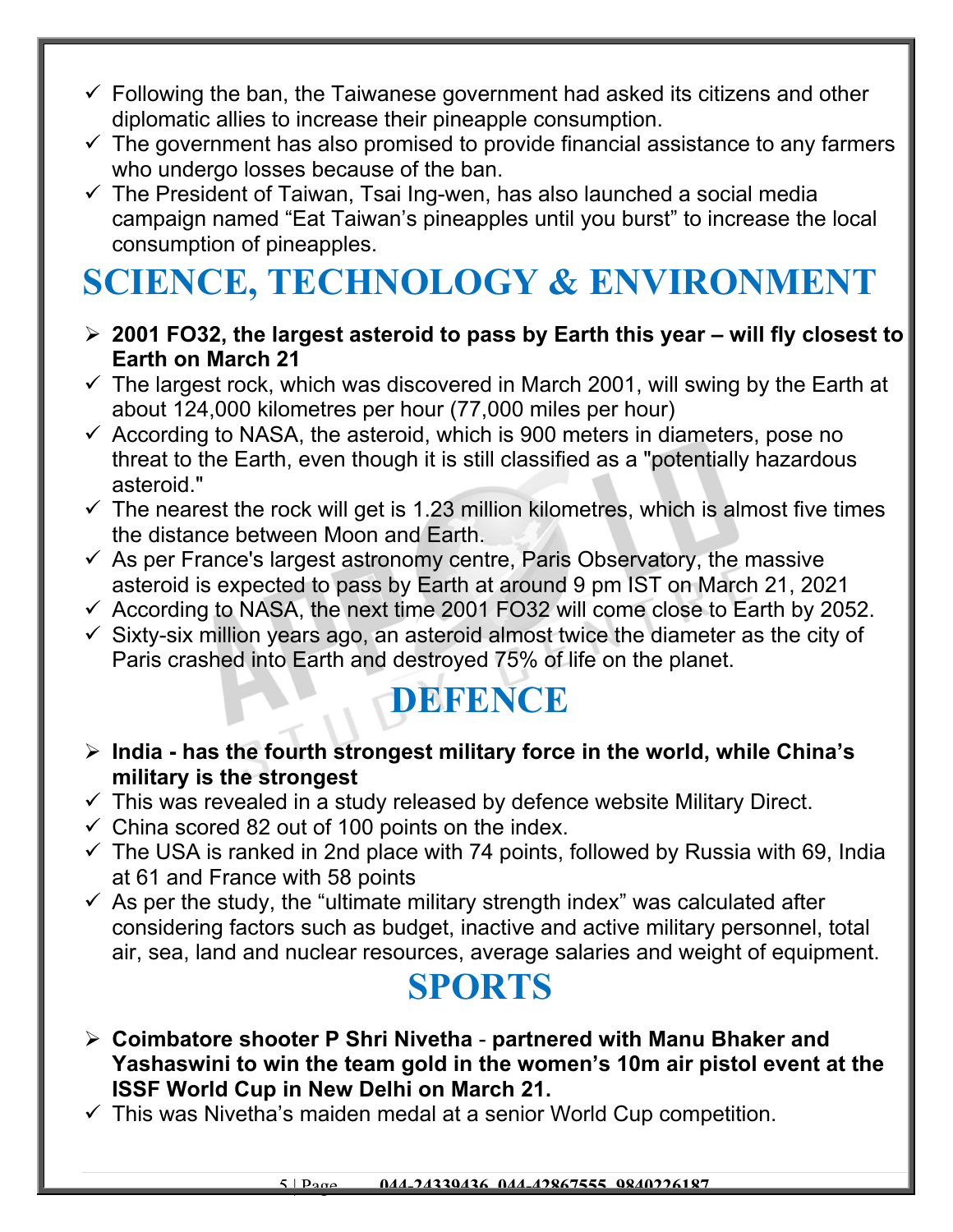- $\checkmark$  Following the ban, the Taiwanese government had asked its citizens and other diplomatic allies to increase their pineapple consumption.
- $\checkmark$  The government has also promised to provide financial assistance to any farmers who undergo losses because of the ban.
- $\checkmark$  The President of Taiwan, Tsai Ing-wen, has also launched a social media campaign named "Eat Taiwan's pineapples until you burst" to increase the local consumption of pineapples.

# **SCIENCE, TECHNOLOGY & ENVIRONMENT**

- **2001 FO32, the largest asteroid to pass by Earth this year will fly closest to Earth on March 21**
- $\checkmark$  The largest rock, which was discovered in March 2001, will swing by the Earth at about 124,000 kilometres per hour (77,000 miles per hour)
- $\checkmark$  According to NASA, the asteroid, which is 900 meters in diameters, pose no threat to the Earth, even though it is still classified as a "potentially hazardous asteroid."
- $\checkmark$  The nearest the rock will get is 1.23 million kilometres, which is almost five times the distance between Moon and Earth.
- $\checkmark$  As per France's largest astronomy centre, Paris Observatory, the massive asteroid is expected to pass by Earth at around 9 pm IST on March 21, 2021
- $\checkmark$  According to NASA, the next time 2001 FO32 will come close to Earth by 2052.
- $\checkmark$  Sixty-six million years ago, an asteroid almost twice the diameter as the city of Paris crashed into Earth and destroyed 75% of life on the planet.

### **DEFENCE**

- **India has the fourth strongest military force in the world, while China's military is the strongest**
- $\checkmark$  This was revealed in a study released by defence website Military Direct.
- $\checkmark$  China scored 82 out of 100 points on the index.
- $\checkmark$  The USA is ranked in 2nd place with 74 points, followed by Russia with 69, India at 61 and France with 58 points
- $\checkmark$  As per the study, the "ultimate military strength index" was calculated after considering factors such as budget, inactive and active military personnel, total air, sea, land and nuclear resources, average salaries and weight of equipment.

### **SPORTS**

- **Coimbatore shooter P Shri Nivetha partnered with Manu Bhaker and Yashaswini to win the team gold in the women's 10m air pistol event at the ISSF World Cup in New Delhi on March 21.**
- $\checkmark$  This was Nivetha's maiden medal at a senior World Cup competition.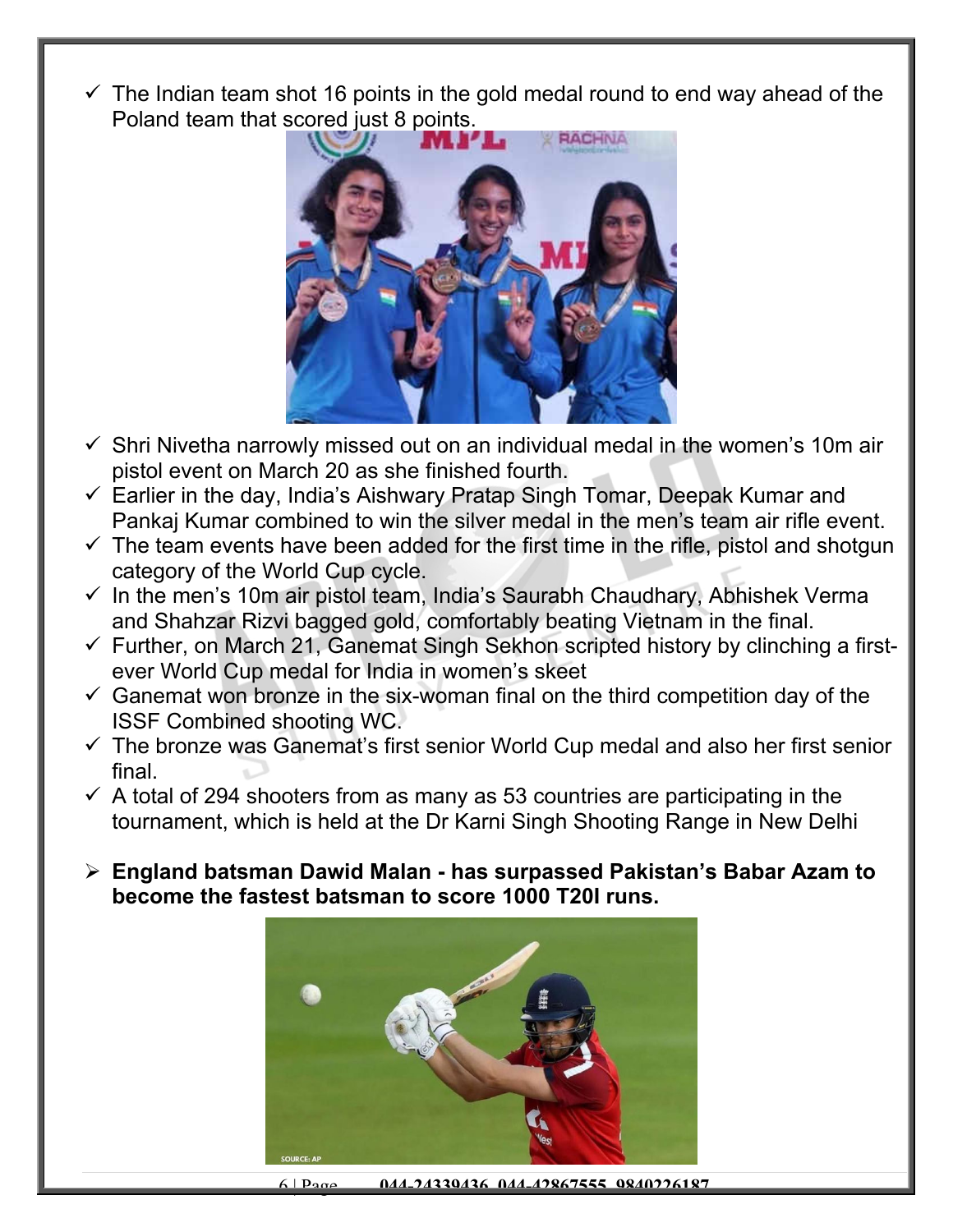$\checkmark$  The Indian team shot 16 points in the gold medal round to end way ahead of the Poland team that scored just 8 points.



- $\checkmark$  Shri Nivetha narrowly missed out on an individual medal in the women's 10m air pistol event on March 20 as she finished fourth.
- $\checkmark$  Earlier in the day, India's Aishwary Pratap Singh Tomar, Deepak Kumar and Pankaj Kumar combined to win the silver medal in the men's team air rifle event.
- $\checkmark$  The team events have been added for the first time in the rifle, pistol and shotgun category of the World Cup cycle.
- $\checkmark$  In the men's 10m air pistol team, India's Saurabh Chaudhary, Abhishek Verma and Shahzar Rizvi bagged gold, comfortably beating Vietnam in the final.
- $\checkmark$  Further, on March 21, Ganemat Singh Sekhon scripted history by clinching a firstever World Cup medal for India in women's skeet
- $\checkmark$  Ganemat won bronze in the six-woman final on the third competition day of the ISSF Combined shooting WC.
- $\checkmark$  The bronze was Ganemat's first senior World Cup medal and also her first senior final.
- $\checkmark$  A total of 294 shooters from as many as 53 countries are participating in the tournament, which is held at the Dr Karni Singh Shooting Range in New Delhi
- **England batsman Dawid Malan has surpassed Pakistan's Babar Azam to become the fastest batsman to score 1000 T20I runs.**



6 | Page **044-24339436, 044-42867555, 9840226187**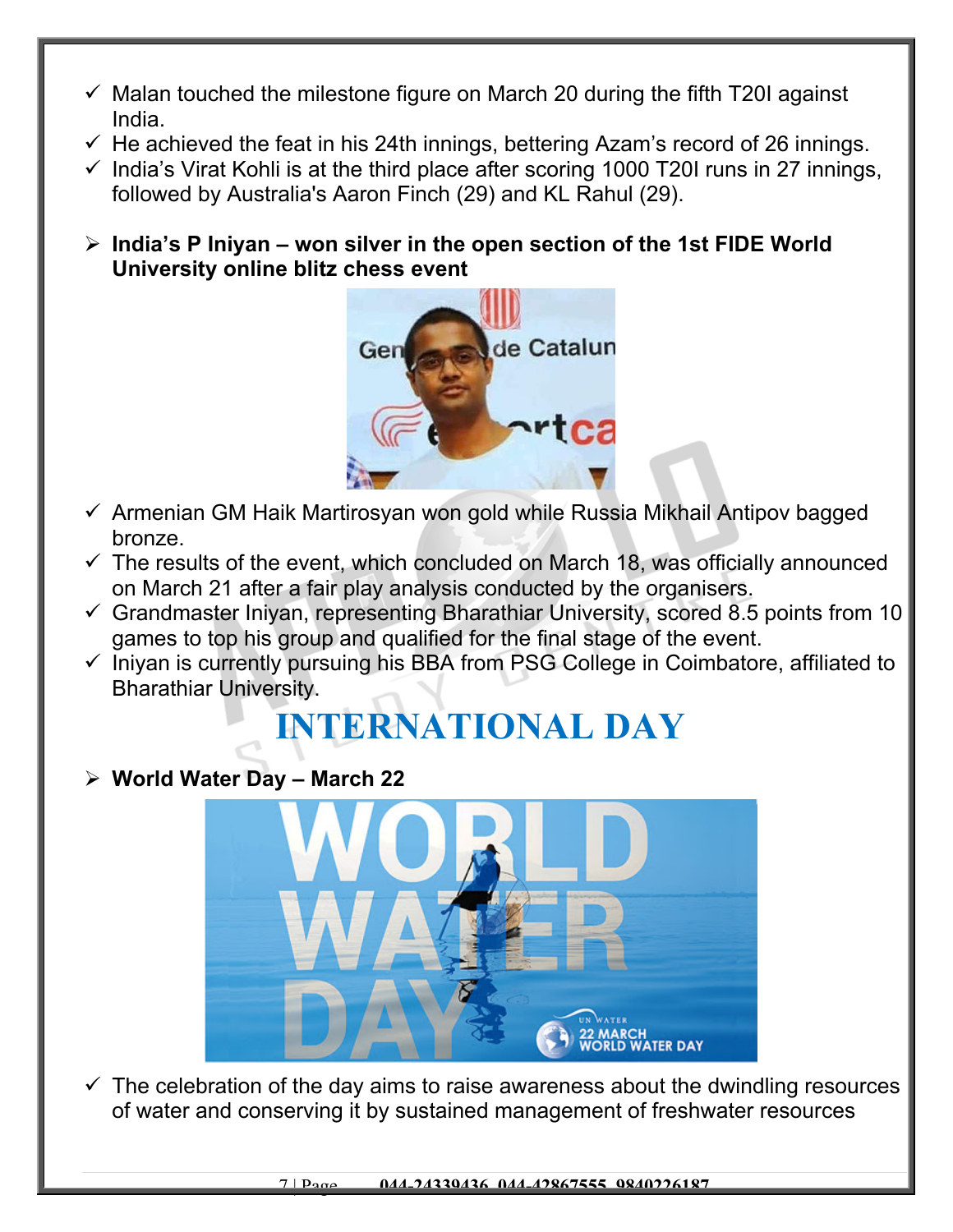- $\checkmark$  Malan touched the milestone figure on March 20 during the fifth T20I against India.
- $\checkmark$  He achieved the feat in his 24th innings, bettering Azam's record of 26 innings.
- $\checkmark$  India's Virat Kohli is at the third place after scoring 1000 T20I runs in 27 innings, followed by Australia's Aaron Finch (29) and KL Rahul (29).

 **India's P Iniyan – won silver in the open section of the 1st FIDE World University online blitz chess event**



- $\checkmark$  Armenian GM Haik Martirosyan won gold while Russia Mikhail Antipov bagged bronze.
- $\checkmark$  The results of the event, which concluded on March 18, was officially announced on March 21 after a fair play analysis conducted by the organisers.
- $\checkmark$  Grandmaster Iniyan, representing Bharathiar University, scored 8.5 points from 10 games to top his group and qualified for the final stage of the event.
- $\checkmark$  Iniyan is currently pursuing his BBA from PSG College in Coimbatore, affiliated to Bharathiar University.

## **INTERNATIONAL DAY**

#### **World Water Day – March 22**



 $\checkmark$  The celebration of the day aims to raise awareness about the dwindling resources of water and conserving it by sustained management of freshwater resources